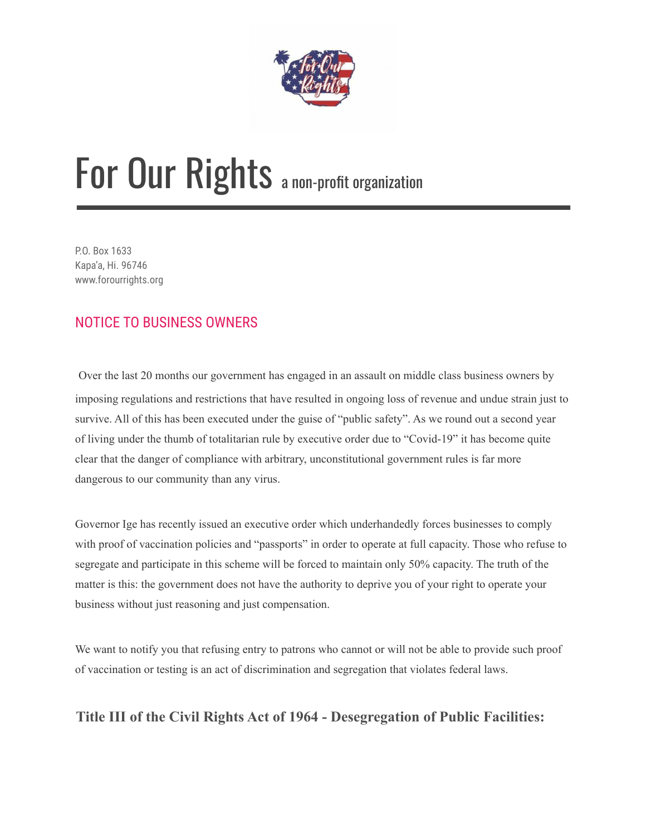

# For Our Rights a non-profit organization

P.O. Box 1633 Kapa'a, Hi. 96746 www.forourrights.org

#### NOTICE TO BUSINESS OWNERS

Over the last 20 months our government has engaged in an assault on middle class business owners by imposing regulations and restrictions that have resulted in ongoing loss of revenue and undue strain just to survive. All of this has been executed under the guise of "public safety". As we round out a second year of living under the thumb of totalitarian rule by executive order due to "Covid-19" it has become quite clear that the danger of compliance with arbitrary, unconstitutional government rules is far more dangerous to our community than any virus.

Governor Ige has recently issued an executive order which underhandedly forces businesses to comply with proof of vaccination policies and "passports" in order to operate at full capacity. Those who refuse to segregate and participate in this scheme will be forced to maintain only 50% capacity. The truth of the matter is this: the government does not have the authority to deprive you of your right to operate your business without just reasoning and just compensation.

We want to notify you that refusing entry to patrons who cannot or will not be able to provide such proof of vaccination or testing is an act of discrimination and segregation that violates federal laws.

#### **Title III of the Civil Rights Act of 1964 - Desegregation of Public Facilities:**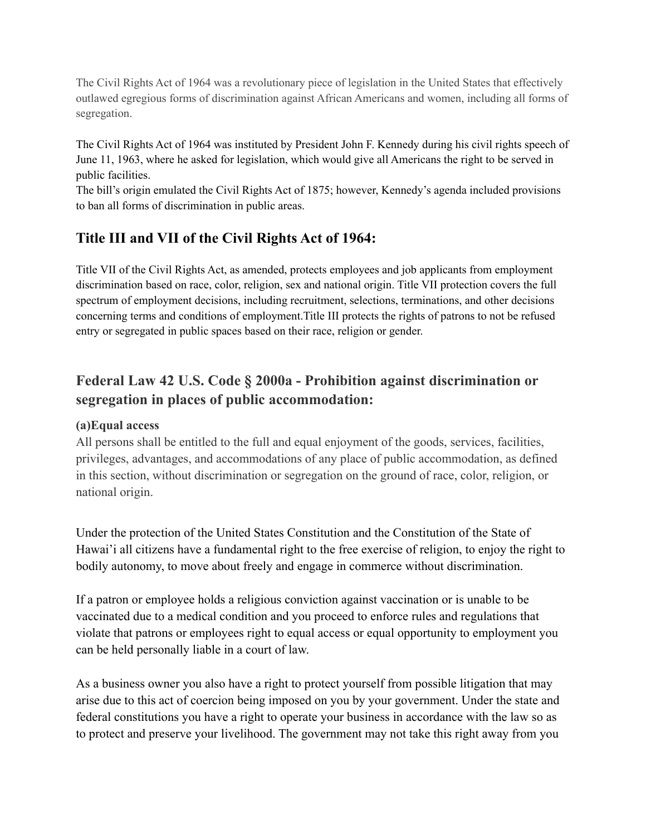The Civil Rights Act of 1964 was a revolutionary piece of legislation in the United States that effectively outlawed egregious forms of discrimination against African Americans and women, including all forms of segregation.

The Civil Rights Act of 1964 was instituted by President John F. Kennedy during his civil rights speech of June 11, 1963, where he asked for legislation, which would give all Americans the right to be served in public facilities.

The bill's origin emulated the Civil Rights Act of 1875; however, Kennedy's agenda included provisions to ban all forms of discrimination in public areas.

#### **Title III and VII of the Civil Rights Act of 1964:**

Title VII of the Civil Rights Act, as amended, protects employees and job applicants from employment discrimination based on race, color, religion, sex and national origin. Title VII protection covers the full spectrum of employment decisions, including recruitment, selections, terminations, and other decisions concerning terms and conditions of employment.Title III protects the rights of patrons to not be refused entry or segregated in public spaces based on their race, religion or gender.

#### **Federal Law 42 U.S. Code § 2000a - Prohibition against discrimination or segregation in places of public accommodation:**

#### **(a)Equal access**

All persons shall be entitled to the full and equal enjoyment of the goods, services, facilities, privileges, advantages, and accommodations of any place of public accommodation, as defined in this section, without discrimination or segregation on the ground of race, color, religion, or national origin.

Under the protection of the United States Constitution and the Constitution of the State of Hawai'i all citizens have a fundamental right to the free exercise of religion, to enjoy the right to bodily autonomy, to move about freely and engage in commerce without discrimination.

If a patron or employee holds a religious conviction against vaccination or is unable to be vaccinated due to a medical condition and you proceed to enforce rules and regulations that violate that patrons or employees right to equal access or equal opportunity to employment you can be held personally liable in a court of law.

As a business owner you also have a right to protect yourself from possible litigation that may arise due to this act of coercion being imposed on you by your government. Under the state and federal constitutions you have a right to operate your business in accordance with the law so as to protect and preserve your livelihood. The government may not take this right away from you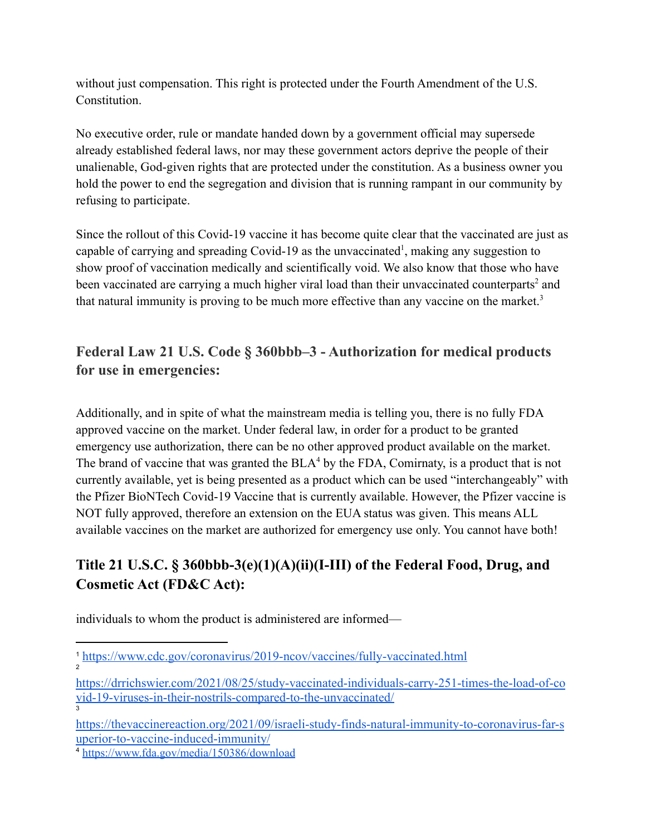without just compensation. This right is protected under the Fourth Amendment of the U.S. Constitution.

No executive order, rule or mandate handed down by a government official may supersede already established federal laws, nor may these government actors deprive the people of their unalienable, God-given rights that are protected under the constitution. As a business owner you hold the power to end the segregation and division that is running rampant in our community by refusing to participate.

Since the rollout of this Covid-19 vaccine it has become quite clear that the vaccinated are just as capable of carrying and spreading Covid-19 as the unvaccinated<sup>1</sup>, making any suggestion to show proof of vaccination medically and scientifically void. We also know that those who have been vaccinated are carrying a much higher viral load than their unvaccinated counterparts<sup>2</sup> and that natural immunity is proving to be much more effective than any vaccine on the market.<sup>3</sup>

### **Federal Law 21 U.S. Code § 360bbb–3 - Authorization for medical products for use in emergencies:**

Additionally, and in spite of what the mainstream media is telling you, there is no fully FDA approved vaccine on the market. Under federal law, in order for a product to be granted emergency use authorization, there can be no other approved product available on the market. The brand of vaccine that was granted the  $BLA<sup>4</sup>$  by the FDA, Comirnaty, is a product that is not currently available, yet is being presented as a product which can be used "interchangeably" with the Pfizer BioNTech Covid-19 Vaccine that is currently available. However, the Pfizer vaccine is NOT fully approved, therefore an extension on the EUA status was given. This means ALL available vaccines on the market are authorized for emergency use only. You cannot have both!

## **Title 21 U.S.C. § 360bbb-3(e)(1)(A)(ii)(I-III) of the Federal Food, Drug, and Cosmetic Act (FD&C Act):**

individuals to whom the product is administered are informed—

[https://thevaccinereaction.org/2021/09/israeli-study-finds-natural-immunity-to-coronavirus-far-s](https://thevaccinereaction.org/2021/09/israeli-study-finds-natural-immunity-to-coronavirus-far-superior-to-vaccine-induced-immunity/) [uperior-to-vaccine-induced-immunity/](https://thevaccinereaction.org/2021/09/israeli-study-finds-natural-immunity-to-coronavirus-far-superior-to-vaccine-induced-immunity/)

<sup>4</sup> <https://www.fda.gov/media/150386/download>

2

<sup>1</sup> <https://www.cdc.gov/coronavirus/2019-ncov/vaccines/fully-vaccinated.html>

<sup>3</sup> [https://drrichswier.com/2021/08/25/study-vaccinated-individuals-carry-251-times-the-load-of-co](https://drrichswier.com/2021/08/25/study-vaccinated-individuals-carry-251-times-the-load-of-covid-19-viruses-in-their-nostrils-compared-to-the-unvaccinated/) [vid-19-viruses-in-their-nostrils-compared-to-the-unvaccinated/](https://drrichswier.com/2021/08/25/study-vaccinated-individuals-carry-251-times-the-load-of-covid-19-viruses-in-their-nostrils-compared-to-the-unvaccinated/)